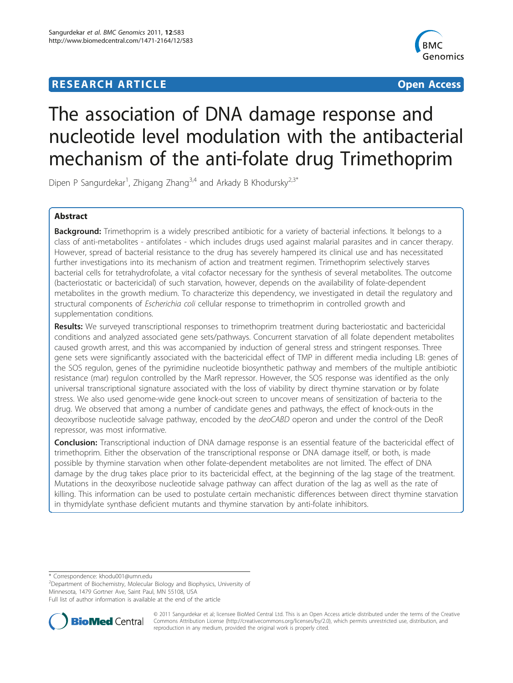## **RESEARCH ARTICLE Example 2018 12:00 Department of the Contract Open Access**



# The association of DNA damage response and nucleotide level modulation with the antibacterial mechanism of the anti-folate drug Trimethoprim

Dipen P Sangurdekar<sup>1</sup>, Zhigang Zhang<sup>3,4</sup> and Arkady B Khodursky<sup>2,3\*</sup>

## Abstract

**Background:** Trimethoprim is a widely prescribed antibiotic for a variety of bacterial infections. It belongs to a class of anti-metabolites - antifolates - which includes drugs used against malarial parasites and in cancer therapy. However, spread of bacterial resistance to the drug has severely hampered its clinical use and has necessitated further investigations into its mechanism of action and treatment regimen. Trimethoprim selectively starves bacterial cells for tetrahydrofolate, a vital cofactor necessary for the synthesis of several metabolites. The outcome (bacteriostatic or bactericidal) of such starvation, however, depends on the availability of folate-dependent metabolites in the growth medium. To characterize this dependency, we investigated in detail the regulatory and structural components of Escherichia coli cellular response to trimethoprim in controlled growth and supplementation conditions.

Results: We surveyed transcriptional responses to trimethoprim treatment during bacteriostatic and bactericidal conditions and analyzed associated gene sets/pathways. Concurrent starvation of all folate dependent metabolites caused growth arrest, and this was accompanied by induction of general stress and stringent responses. Three gene sets were significantly associated with the bactericidal effect of TMP in different media including LB: genes of the SOS regulon, genes of the pyrimidine nucleotide biosynthetic pathway and members of the multiple antibiotic resistance (mar) regulon controlled by the MarR repressor. However, the SOS response was identified as the only universal transcriptional signature associated with the loss of viability by direct thymine starvation or by folate stress. We also used genome-wide gene knock-out screen to uncover means of sensitization of bacteria to the drug. We observed that among a number of candidate genes and pathways, the effect of knock-outs in the deoxyribose nucleotide salvage pathway, encoded by the deoCABD operon and under the control of the DeoR repressor, was most informative.

Conclusion: Transcriptional induction of DNA damage response is an essential feature of the bactericidal effect of trimethoprim. Either the observation of the transcriptional response or DNA damage itself, or both, is made possible by thymine starvation when other folate-dependent metabolites are not limited. The effect of DNA damage by the drug takes place prior to its bactericidal effect, at the beginning of the lag stage of the treatment. Mutations in the deoxyribose nucleotide salvage pathway can affect duration of the lag as well as the rate of killing. This information can be used to postulate certain mechanistic differences between direct thymine starvation in thymidylate synthase deficient mutants and thymine starvation by anti-folate inhibitors.

\* Correspondence: [khodu001@umn.edu](mailto:khodu001@umn.edu)

<sup>2</sup>Department of Biochemistry, Molecular Biology and Biophysics, University of Minnesota, 1479 Gortner Ave, Saint Paul, MN 55108, USA

Full list of author information is available at the end of the article



© 2011 Sangurdekar et al; licensee BioMed Central Ltd. This is an Open Access article distributed under the terms of the Creative Commons Attribution License [\(http://creativecommons.org/licenses/by/2.0](http://creativecommons.org/licenses/by/2.0)), which permits unrestricted use, distribution, and reproduction in any medium, provided the original work is properly cited.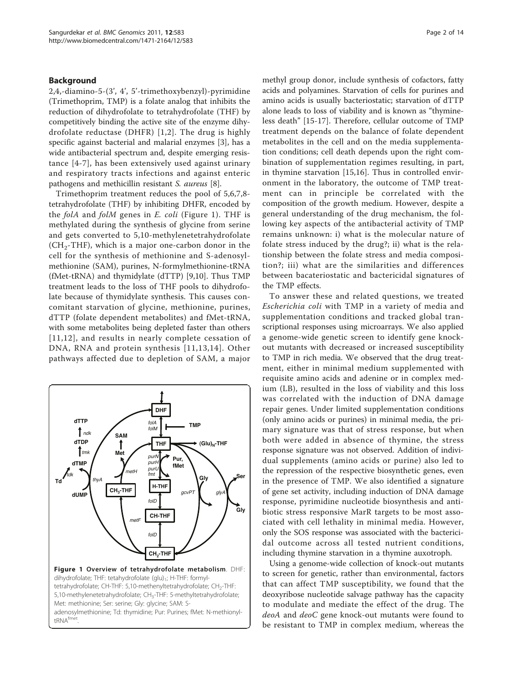#### <span id="page-1-0"></span>Background

2,4,-diamino-5-(3', 4', 5'-trimethoxybenzyl)-pyrimidine (Trimethoprim, TMP) is a folate analog that inhibits the reduction of dihydrofolate to tetrahydrofolate (THF) by competitively binding the active site of the enzyme dihydrofolate reductase (DHFR) [[1,2](#page-12-0)]. The drug is highly specific against bacterial and malarial enzymes [[3\]](#page-12-0), has a wide antibacterial spectrum and, despite emerging resistance [[4-7\]](#page-12-0), has been extensively used against urinary and respiratory tracts infections and against enteric pathogens and methicillin resistant S. aureus [\[8](#page-12-0)].

Trimethoprim treatment reduces the pool of 5,6,7,8 tetrahydrofolate (THF) by inhibiting DHFR, encoded by the folA and folM genes in E. coli (Figure 1). THF is methylated during the synthesis of glycine from serine and gets converted to 5,10-methylenetetrahydrofolate  $(CH<sub>2</sub>-THF)$ , which is a major one-carbon donor in the cell for the synthesis of methionine and S-adenosylmethionine (SAM), purines, N-formylmethionine-tRNA (fMet-tRNA) and thymidylate (dTTP) [[9](#page-12-0),[10](#page-12-0)]. Thus TMP treatment leads to the loss of THF pools to dihydrofolate because of thymidylate synthesis. This causes concomitant starvation of glycine, methionine, purines, dTTP (folate dependent metabolites) and fMet-tRNA, with some metabolites being depleted faster than others [[11](#page-12-0),[12](#page-12-0)], and results in nearly complete cessation of DNA, RNA and protein synthesis [[11,13,14](#page-12-0)]. Other pathways affected due to depletion of SAM, a major



methyl group donor, include synthesis of cofactors, fatty acids and polyamines. Starvation of cells for purines and amino acids is usually bacteriostatic; starvation of dTTP alone leads to loss of viability and is known as "thymineless death" [\[15](#page-12-0)-[17\]](#page-12-0). Therefore, cellular outcome of TMP treatment depends on the balance of folate dependent metabolites in the cell and on the media supplementation conditions; cell death depends upon the right combination of supplementation regimes resulting, in part, in thymine starvation [\[15,16](#page-12-0)]. Thus in controlled environment in the laboratory, the outcome of TMP treatment can in principle be correlated with the composition of the growth medium. However, despite a general understanding of the drug mechanism, the following key aspects of the antibacterial activity of TMP remains unknown: i) what is the molecular nature of folate stress induced by the drug?; ii) what is the relationship between the folate stress and media composition?; iii) what are the similarities and differences between bacateriostatic and bactericidal signatures of the TMP effects.

To answer these and related questions, we treated Escherichia coli with TMP in a variety of media and supplementation conditions and tracked global transcriptional responses using microarrays. We also applied a genome-wide genetic screen to identify gene knockout mutants with decreased or increased susceptibility to TMP in rich media. We observed that the drug treatment, either in minimal medium supplemented with requisite amino acids and adenine or in complex medium (LB), resulted in the loss of viability and this loss was correlated with the induction of DNA damage repair genes. Under limited supplementation conditions (only amino acids or purines) in minimal media, the primary signature was that of stress response, but when both were added in absence of thymine, the stress response signature was not observed. Addition of individual supplements (amino acids or purine) also led to the repression of the respective biosynthetic genes, even in the presence of TMP. We also identified a signature of gene set activity, including induction of DNA damage response, pyrimidine nucleotide biosynthesis and antibiotic stress responsive MarR targets to be most associated with cell lethality in minimal media. However, only the SOS response was associated with the bactericidal outcome across all tested nutrient conditions, including thymine starvation in a thymine auxotroph.

Using a genome-wide collection of knock-out mutants to screen for genetic, rather than environmental, factors that can affect TMP susceptibility, we found that the deoxyribose nucleotide salvage pathway has the capacity to modulate and mediate the effect of the drug. The deoA and deoC gene knock-out mutants were found to be resistant to TMP in complex medium, whereas the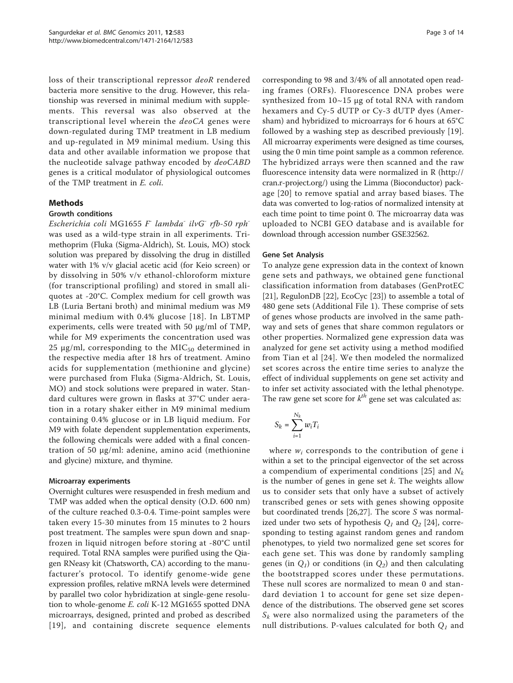loss of their transcriptional repressor deoR rendered bacteria more sensitive to the drug. However, this relationship was reversed in minimal medium with supplements. This reversal was also observed at the transcriptional level wherein the deoCA genes were down-regulated during TMP treatment in LB medium and up-regulated in M9 minimal medium. Using this data and other available information we propose that the nucleotide salvage pathway encoded by deoCABD genes is a critical modulator of physiological outcomes of the TMP treatment in E. coli.

## Methods

#### Growth conditions

Escherichia coli MG1655  $F$ -lambda<sup>-</sup> ilvG<sup>-</sup> rfb-50 rph<sup>-</sup> was used as a wild-type strain in all experiments. Trimethoprim (Fluka (Sigma-Aldrich), St. Louis, MO) stock solution was prepared by dissolving the drug in distilled water with 1% v/v glacial acetic acid (for Keio screen) or by dissolving in 50% v/v ethanol-chloroform mixture (for transcriptional profiling) and stored in small aliquotes at -20°C. Complex medium for cell growth was LB (Luria Bertani broth) and minimal medium was M9 minimal medium with 0.4% glucose [[18\]](#page-12-0). In LBTMP experiments, cells were treated with 50  $\mu$ g/ml of TMP, while for M9 experiments the concentration used was 25  $\mu$ g/ml, corresponding to the MIC<sub>50</sub> determined in the respective media after 18 hrs of treatment. Amino acids for supplementation (methionine and glycine) were purchased from Fluka (Sigma-Aldrich, St. Louis, MO) and stock solutions were prepared in water. Standard cultures were grown in flasks at 37°C under aeration in a rotary shaker either in M9 minimal medium containing 0.4% glucose or in LB liquid medium. For M9 with folate dependent supplementation experiments, the following chemicals were added with a final concentration of 50 μg/ml: adenine, amino acid (methionine and glycine) mixture, and thymine.

#### Microarray experiments

Overnight cultures were resuspended in fresh medium and TMP was added when the optical density (O.D. 600 nm) of the culture reached 0.3-0.4. Time-point samples were taken every 15-30 minutes from 15 minutes to 2 hours post treatment. The samples were spun down and snapfrozen in liquid nitrogen before storing at -80°C until required. Total RNA samples were purified using the Qiagen RNeasy kit (Chatsworth, CA) according to the manufacturer's protocol. To identify genome-wide gene expression profiles, relative mRNA levels were determined by parallel two color hybridization at single-gene resolution to whole-genome E. coli K-12 MG1655 spotted DNA microarrays, designed, printed and probed as described [[19\]](#page-12-0), and containing discrete sequence elements corresponding to 98 and 3/4% of all annotated open reading frames (ORFs). Fluorescence DNA probes were synthesized from 10~15 μg of total RNA with random hexamers and Cy-5 dUTP or Cy-3 dUTP dyes (Amersham) and hybridized to microarrays for 6 hours at 65°C followed by a washing step as described previously [[19](#page-12-0)]. All microarray experiments were designed as time courses, using the 0 min time point sample as a common reference. The hybridized arrays were then scanned and the raw fluorescence intensity data were normalized in R [\(http://](http://cran.r-project.org/) [cran.r-project.org/\)](http://cran.r-project.org/) using the Limma (Bioconductor) package [\[20\]](#page-12-0) to remove spatial and array based biases. The data was converted to log-ratios of normalized intensity at each time point to time point 0. The microarray data was uploaded to NCBI GEO database and is available for download through accession number GSE32562.

#### Gene Set Analysis

To analyze gene expression data in the context of known gene sets and pathways, we obtained gene functional classification information from databases (GenProtEC [[21\]](#page-12-0), RegulonDB [\[22](#page-12-0)], EcoCyc [[23\]](#page-13-0)) to assemble a total of 480 gene sets (Additional File [1\)](#page-12-0). These comprise of sets of genes whose products are involved in the same pathway and sets of genes that share common regulators or other properties. Normalized gene expression data was analyzed for gene set activity using a method modified from Tian et al [[24](#page-13-0)]. We then modeled the normalized set scores across the entire time series to analyze the effect of individual supplements on gene set activity and to infer set activity associated with the lethal phenotype. The raw gene set score for  $k^{th}$  gene set was calculated as:

$$
S_k = \sum_{i=1}^{N_k} w_i T_i
$$

where  $w_i$  corresponds to the contribution of gene i within a set to the principal eigenvector of the set across a compendium of experimental conditions [\[25](#page-13-0)] and  $N_k$ is the number of genes in gene set  $k$ . The weights allow us to consider sets that only have a subset of actively transcribed genes or sets with genes showing opposite but coordinated trends [\[26,27\]](#page-13-0). The score S was normalized under two sets of hypothesis  $Q_1$  and  $Q_2$  [\[24](#page-13-0)], corresponding to testing against random genes and random phenotypes, to yield two normalized gene set scores for each gene set. This was done by randomly sampling genes (in  $Q_1$ ) or conditions (in  $Q_2$ ) and then calculating the bootstrapped scores under these permutations. These null scores are normalized to mean 0 and standard deviation 1 to account for gene set size dependence of the distributions. The observed gene set scores  $S_k$  were also normalized using the parameters of the null distributions. P-values calculated for both  $Q_1$  and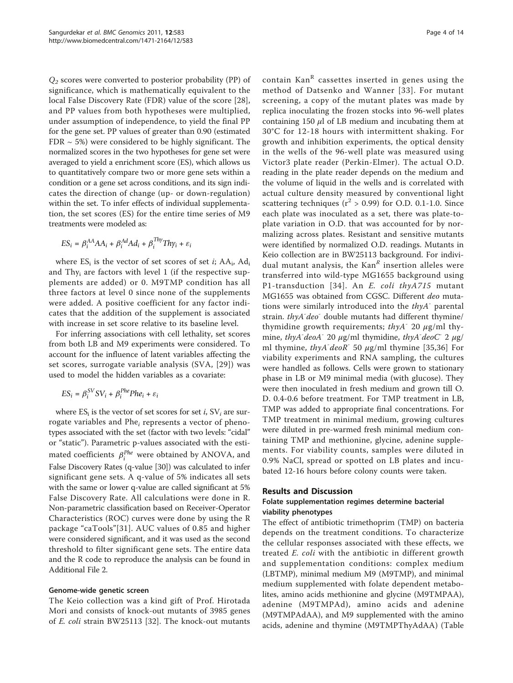$Q_2$  scores were converted to posterior probability (PP) of significance, which is mathematically equivalent to the local False Discovery Rate (FDR) value of the score [\[28](#page-13-0)], and PP values from both hypotheses were multiplied, under assumption of independence, to yield the final PP for the gene set. PP values of greater than 0.90 (estimated FDR  $\sim$  5%) were considered to be highly significant. The normalized scores in the two hypotheses for gene set were averaged to yield a enrichment score (ES), which allows us to quantitatively compare two or more gene sets within a condition or a gene set across conditions, and its sign indicates the direction of change (up- or down-regulation) within the set. To infer effects of individual supplementation, the set scores (ES) for the entire time series of M9 treatments were modeled as:

$$
ES_i = \beta_i^{AA}AA_i + \beta_i^{Ad}Ad_i + \beta_i^{Thy}Thy_i + \varepsilon_i
$$

where  $ES_i$  is the vector of set scores of set *i*;  $AA_i$ ,  $Ad_i$ and Thy<sub>i</sub> are factors with level 1 (if the respective supplements are added) or 0. M9TMP condition has all three factors at level 0 since none of the supplements were added. A positive coefficient for any factor indicates that the addition of the supplement is associated with increase in set score relative to its baseline level.

For inferring associations with cell lethality, set scores from both LB and M9 experiments were considered. To account for the influence of latent variables affecting the set scores, surrogate variable analysis (SVA, [\[29\]](#page-13-0)) was used to model the hidden variables as a covariate:

$$
ES_i = \beta_i^{SV} SV_i + \beta_i^{Phe} P h e_i + \varepsilon_i
$$

where  $ES_i$  is the vector of set scores for set *i*,  $SV_i$  are surrogate variables and  $Phe_i$  represents a vector of phenotypes associated with the set (factor with two levels: "cidal" or "static"). Parametric p-values associated with the estimated coefficients  $\beta_i^{Phe}$  were obtained by ANOVA, and False Discovery Rates (q-value [[30](#page-13-0)]) was calculated to infer significant gene sets. A q-value of 5% indicates all sets with the same or lower q-value are called significant at 5% False Discovery Rate. All calculations were done in R. Non-parametric classification based on Receiver-Operator Characteristics (ROC) curves were done by using the R package "caTools"[[31\]](#page-13-0). AUC values of 0.85 and higher were considered significant, and it was used as the second threshold to filter significant gene sets. The entire data and the R code to reproduce the analysis can be found in Additional File [2](#page-12-0).

## Genome-wide genetic screen

The Keio collection was a kind gift of Prof. Hirotada Mori and consists of knock-out mutants of 3985 genes of E. coli strain BW25113 [[32\]](#page-13-0). The knock-out mutants contain  $Kan^R$  cassettes inserted in genes using the method of Datsenko and Wanner [[33\]](#page-13-0). For mutant screening, a copy of the mutant plates was made by replica inoculating the frozen stocks into 96-well plates containing 150  $\mu$ l of LB medium and incubating them at 30°C for 12-18 hours with intermittent shaking. For growth and inhibition experiments, the optical density in the wells of the 96-well plate was measured using Victor3 plate reader (Perkin-Elmer). The actual O.D. reading in the plate reader depends on the medium and the volume of liquid in the wells and is correlated with actual culture density measured by conventional light scattering techniques ( $r^2 > 0.99$ ) for O.D. 0.1-1.0. Since each plate was inoculated as a set, there was plate-toplate variation in O.D. that was accounted for by normalizing across plates. Resistant and sensitive mutants were identified by normalized O.D. readings. Mutants in Keio collection are in BW25113 background. For individual mutant analysis, the  $Kan^R$  insertion alleles were transferred into wild-type MG1655 background using P1-transduction [[34](#page-13-0)]. An E. coli thyA715 mutant MG1655 was obtained from CGSC. Different deo mutations were similarly introduced into the  $thyA^-$  parental strain. thyA<sup>-</sup>deo<sup>-</sup> double mutants had different thymine/ thymidine growth requirements;  $thyA^- 20 \mu g/ml$  thymine, thyA<sup>-</sup>deoA<sup>-</sup> 20 μg/ml thymidine, thyA<sup>-</sup>deoC<sup>-</sup> 2 μg/ ml thymine, thyA<sup>-</sup>deoR<sup>-</sup> 50  $\mu$ g/ml thymine [[35,36](#page-13-0)] For viability experiments and RNA sampling, the cultures were handled as follows. Cells were grown to stationary phase in LB or M9 minimal media (with glucose). They were then inoculated in fresh medium and grown till O. D. 0.4-0.6 before treatment. For TMP treatment in LB, TMP was added to appropriate final concentrations. For TMP treatment in minimal medium, growing cultures were diluted in pre-warmed fresh minimal medium containing TMP and methionine, glycine, adenine supplements. For viability counts, samples were diluted in 0.9% NaCl, spread or spotted on LB plates and incubated 12-16 hours before colony counts were taken.

## Results and Discussion

## Folate supplementation regimes determine bacterial viability phenotypes

The effect of antibiotic trimethoprim (TMP) on bacteria depends on the treatment conditions. To characterize the cellular responses associated with these effects, we treated E. coli with the antibiotic in different growth and supplementation conditions: complex medium (LBTMP), minimal medium M9 (M9TMP), and minimal medium supplemented with folate dependent metabolites, amino acids methionine and glycine (M9TMPAA), adenine (M9TMPAd), amino acids and adenine (M9TMPAdAA), and M9 supplemented with the amino acids, adenine and thymine (M9TMPThyAdAA) (Table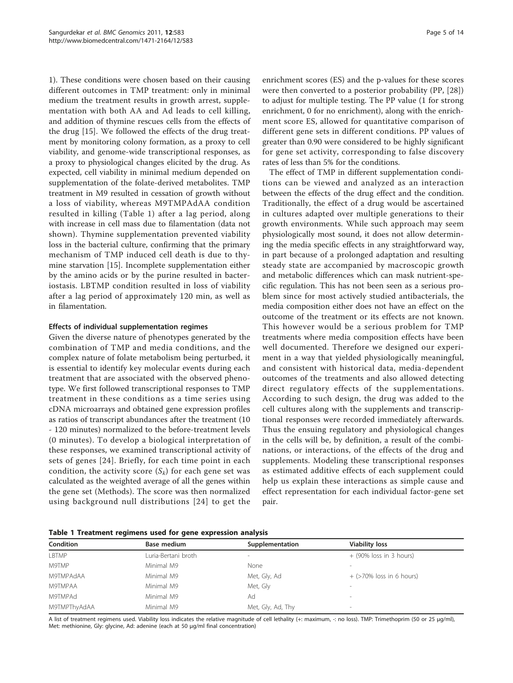1). These conditions were chosen based on their causing different outcomes in TMP treatment: only in minimal medium the treatment results in growth arrest, supplementation with both AA and Ad leads to cell killing, and addition of thymine rescues cells from the effects of the drug [\[15](#page-12-0)]. We followed the effects of the drug treatment by monitoring colony formation, as a proxy to cell viability, and genome-wide transcriptional responses, as a proxy to physiological changes elicited by the drug. As expected, cell viability in minimal medium depended on supplementation of the folate-derived metabolites. TMP treatment in M9 resulted in cessation of growth without a loss of viability, whereas M9TMPAdAA condition resulted in killing (Table 1) after a lag period, along with increase in cell mass due to filamentation (data not shown). Thymine supplementation prevented viability loss in the bacterial culture, confirming that the primary mechanism of TMP induced cell death is due to thymine starvation [\[15](#page-12-0)]. Incomplete supplementation either by the amino acids or by the purine resulted in bacteriostasis. LBTMP condition resulted in loss of viability after a lag period of approximately 120 min, as well as in filamentation.

## Effects of individual supplementation regimes

Given the diverse nature of phenotypes generated by the combination of TMP and media conditions, and the complex nature of folate metabolism being perturbed, it is essential to identify key molecular events during each treatment that are associated with the observed phenotype. We first followed transcriptional responses to TMP treatment in these conditions as a time series using cDNA microarrays and obtained gene expression profiles as ratios of transcript abundances after the treatment (10 - 120 minutes) normalized to the before-treatment levels (0 minutes). To develop a biological interpretation of these responses, we examined transcriptional activity of sets of genes [[24](#page-13-0)]. Briefly, for each time point in each condition, the activity score  $(S_k)$  for each gene set was calculated as the weighted average of all the genes within the gene set (Methods). The score was then normalized using background null distributions [[24\]](#page-13-0) to get the

enrichment scores (ES) and the p-values for these scores were then converted to a posterior probability (PP, [\[28](#page-13-0)]) to adjust for multiple testing. The PP value (1 for strong enrichment, 0 for no enrichment), along with the enrichment score ES, allowed for quantitative comparison of different gene sets in different conditions. PP values of greater than 0.90 were considered to be highly significant for gene set activity, corresponding to false discovery rates of less than 5% for the conditions.

The effect of TMP in different supplementation conditions can be viewed and analyzed as an interaction between the effects of the drug effect and the condition. Traditionally, the effect of a drug would be ascertained in cultures adapted over multiple generations to their growth environments. While such approach may seem physiologically most sound, it does not allow determining the media specific effects in any straightforward way, in part because of a prolonged adaptation and resulting steady state are accompanied by macroscopic growth and metabolic differences which can mask nutrient-specific regulation. This has not been seen as a serious problem since for most actively studied antibacterials, the media composition either does not have an effect on the outcome of the treatment or its effects are not known. This however would be a serious problem for TMP treatments where media composition effects have been well documented. Therefore we designed our experiment in a way that yielded physiologically meaningful, and consistent with historical data, media-dependent outcomes of the treatments and also allowed detecting direct regulatory effects of the supplementations. According to such design, the drug was added to the cell cultures along with the supplements and transcriptional responses were recorded immediately afterwards. Thus the ensuing regulatory and physiological changes in the cells will be, by definition, a result of the combinations, or interactions, of the effects of the drug and supplements. Modeling these transcriptional responses as estimated additive effects of each supplement could help us explain these interactions as simple cause and effect representation for each individual factor-gene set pair.

Table 1 Treatment regimens used for gene expression analysis

| Condition    | Base medium         | Supplementation   | <b>Viability loss</b>      |  |  |
|--------------|---------------------|-------------------|----------------------------|--|--|
| <b>LBTMP</b> | Luria-Bertani broth |                   | $+$ (90% loss in 3 hours)  |  |  |
| M9TMP        | Minimal M9          | None              |                            |  |  |
| M9TMPAdAA    | Minimal M9          | Met, Gly, Ad      | $+$ (>70% loss in 6 hours) |  |  |
| M9TMPAA      | Minimal M9          | Met, Gly          |                            |  |  |
| M9TMPAd      | Minimal M9          | Ad                | $\overline{\phantom{a}}$   |  |  |
| M9TMPThyAdAA | Minimal M9          | Met, Gly, Ad, Thy | $\sim$                     |  |  |
|              |                     |                   |                            |  |  |

A list of treatment regimens used. Viability loss indicates the relative magnitude of cell lethality (+: maximum, -: no loss). TMP: Trimethoprim (50 or 25 μg/ml), Met: methionine, Gly: glycine, Ad: adenine (each at 50 μg/ml final concentration)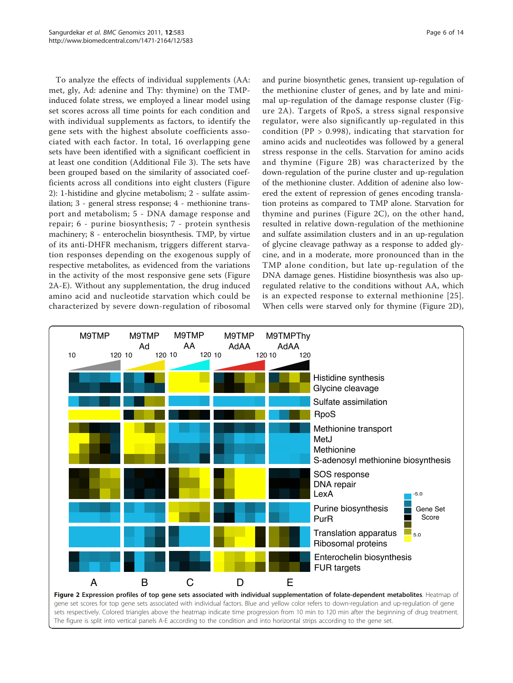<span id="page-5-0"></span>To analyze the effects of individual supplements (AA: met, gly, Ad: adenine and Thy: thymine) on the TMPinduced folate stress, we employed a linear model using set scores across all time points for each condition and with individual supplements as factors, to identify the gene sets with the highest absolute coefficients associated with each factor. In total, 16 overlapping gene sets have been identified with a significant coefficient in at least one condition (Additional File [3\)](#page-12-0). The sets have been grouped based on the similarity of associated coefficients across all conditions into eight clusters (Figure 2): 1-histidine and glycine metabolism; 2 - sulfate assimilation; 3 - general stress response; 4 - methionine transport and metabolism; 5 - DNA damage response and repair; 6 - purine biosynthesis; 7 - protein synthesis machinery; 8 - enterochelin biosynthesis. TMP, by virtue of its anti-DHFR mechanism, triggers different starvation responses depending on the exogenous supply of respective metabolites, as evidenced from the variations in the activity of the most responsive gene sets (Figure 2A-E). Without any supplementation, the drug induced amino acid and nucleotide starvation which could be characterized by severe down-regulation of ribosomal and purine biosynthetic genes, transient up-regulation of the methionine cluster of genes, and by late and minimal up-regulation of the damage response cluster (Figure 2A). Targets of RpoS, a stress signal responsive regulator, were also significantly up-regulated in this condition (PP > 0.998), indicating that starvation for amino acids and nucleotides was followed by a general stress response in the cells. Starvation for amino acids and thymine (Figure 2B) was characterized by the down-regulation of the purine cluster and up-regulation of the methionine cluster. Addition of adenine also lowered the extent of repression of genes encoding translation proteins as compared to TMP alone. Starvation for thymine and purines (Figure 2C), on the other hand, resulted in relative down-regulation of the methionine and sulfate assimilation clusters and in an up-regulation of glycine cleavage pathway as a response to added glycine, and in a moderate, more pronounced than in the TMP alone condition, but late up-regulation of the DNA damage genes. Histidine biosynthesis was also upregulated relative to the conditions without AA, which is an expected response to external methionine [\[25\]](#page-13-0). When cells were starved only for thymine (Figure 2D),

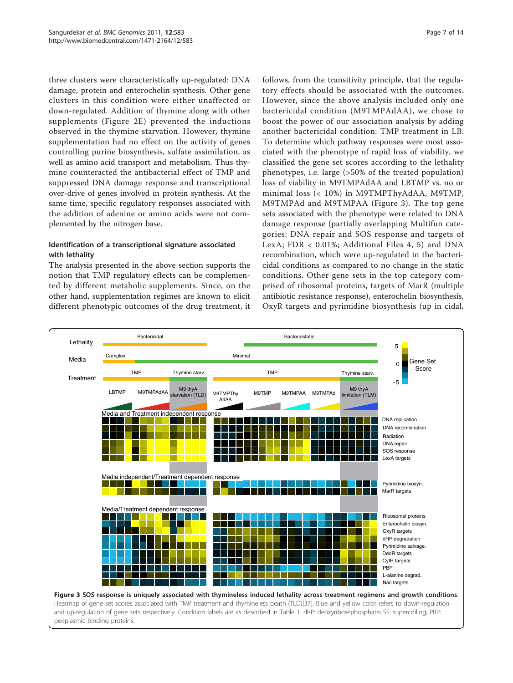<span id="page-6-0"></span>three clusters were characteristically up-regulated: DNA damage, protein and enterochelin synthesis. Other gene clusters in this condition were either unaffected or down-regulated. Addition of thymine along with other supplements (Figure [2E](#page-5-0)) prevented the inductions observed in the thymine starvation. However, thymine supplementation had no effect on the activity of genes controlling purine biosynthesis, sulfate assimilation, as well as amino acid transport and metabolism. Thus thymine counteracted the antibacterial effect of TMP and suppressed DNA damage response and transcriptional over-drive of genes involved in protein synthesis. At the same time, specific regulatory responses associated with the addition of adenine or amino acids were not complemented by the nitrogen base.

## Identification of a transcriptional signature associated with lethality

The analysis presented in the above section supports the notion that TMP regulatory effects can be complemented by different metabolic supplements. Since, on the other hand, supplementation regimes are known to elicit different phenotypic outcomes of the drug treatment, it

follows, from the transitivity principle, that the regulatory effects should be associated with the outcomes. However, since the above analysis included only one bactericidal condition (M9TMPAdAA), we chose to boost the power of our association analysis by adding another bactericidal condition: TMP treatment in LB. To determine which pathway responses were most associated with the phenotype of rapid loss of viability, we classified the gene set scores according to the lethality phenotypes, i.e. large (>50% of the treated population) loss of viability in M9TMPAdAA and LBTMP vs. no or minimal loss (< 10%) in M9TMPThyAdAA, M9TMP, M9TMPAd and M9TMPAA (Figure 3). The top gene sets associated with the phenotype were related to DNA damage response (partially overlapping Multifun categories: DNA repair and SOS response and targets of LexA; FDR < 0.01%; Additional Files [4, 5](#page-12-0)) and DNA recombination, which were up-regulated in the bactericidal conditions as compared to no change in the static conditions. Other gene sets in the top category comprised of ribosomal proteins, targets of MarR (multiple antibiotic resistance response), enterochelin biosynthesis, OxyR targets and pyrimidine biosynthesis (up in cidal,

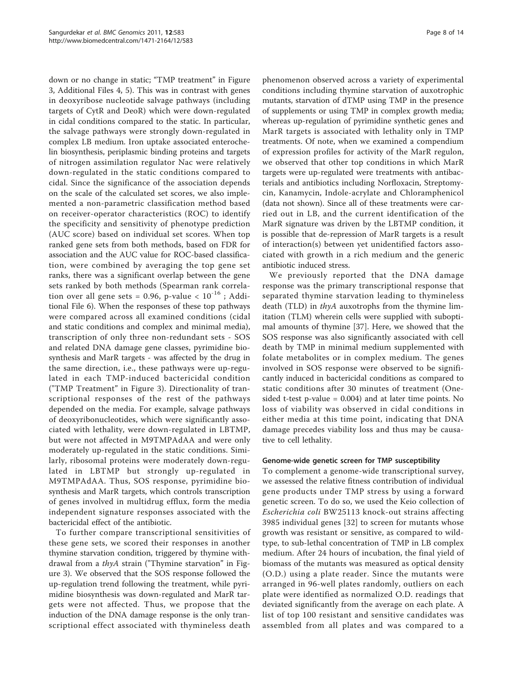down or no change in static; "TMP treatment" in Figure [3,](#page-6-0) Additional Files [4](#page-12-0), [5\)](#page-12-0). This was in contrast with genes in deoxyribose nucleotide salvage pathways (including targets of CytR and DeoR) which were down-regulated in cidal conditions compared to the static. In particular, the salvage pathways were strongly down-regulated in complex LB medium. Iron uptake associated enterochelin biosynthesis, periplasmic binding proteins and targets of nitrogen assimilation regulator Nac were relatively down-regulated in the static conditions compared to cidal. Since the significance of the association depends on the scale of the calculated set scores, we also implemented a non-parametric classification method based on receiver-operator characteristics (ROC) to identify the specificity and sensitivity of phenotype prediction (AUC score) based on individual set scores. When top ranked gene sets from both methods, based on FDR for association and the AUC value for ROC-based classification, were combined by averaging the top gene set ranks, there was a significant overlap between the gene sets ranked by both methods (Spearman rank correlation over all gene sets = 0.96, p-value <  $10^{-16}$ ; Additional File [6\)](#page-12-0). When the responses of these top pathways were compared across all examined conditions (cidal and static conditions and complex and minimal media), transcription of only three non-redundant sets - SOS and related DNA damage gene classes, pyrimidine biosynthesis and MarR targets - was affected by the drug in the same direction, i.e., these pathways were up-regulated in each TMP-induced bactericidal condition ("TMP Treatment" in Figure [3](#page-6-0)). Directionality of transcriptional responses of the rest of the pathways depended on the media. For example, salvage pathways of deoxyribonucleotides, which were significantly associated with lethality, were down-regulated in LBTMP, but were not affected in M9TMPAdAA and were only moderately up-regulated in the static conditions. Similarly, ribosomal proteins were moderately down-regulated in LBTMP but strongly up-regulated in M9TMPAdAA. Thus, SOS response, pyrimidine biosynthesis and MarR targets, which controls transcription of genes involved in multidrug efflux, form the media independent signature responses associated with the bactericidal effect of the antibiotic.

To further compare transcriptional sensitivities of these gene sets, we scored their responses in another thymine starvation condition, triggered by thymine withdrawal from a thyA strain ("Thymine starvation" in Figure [3](#page-6-0)). We observed that the SOS response followed the up-regulation trend following the treatment, while pyrimidine biosynthesis was down-regulated and MarR targets were not affected. Thus, we propose that the induction of the DNA damage response is the only transcriptional effect associated with thymineless death

phenomenon observed across a variety of experimental conditions including thymine starvation of auxotrophic mutants, starvation of dTMP using TMP in the presence of supplements or using TMP in complex growth media; whereas up-regulation of pyrimidine synthetic genes and MarR targets is associated with lethality only in TMP treatments. Of note, when we examined a compendium of expression profiles for activity of the MarR regulon, we observed that other top conditions in which MarR targets were up-regulated were treatments with antibacterials and antibiotics including Norfloxacin, Streptomycin, Kanamycin, Indole-acrylate and Chloramphenicol (data not shown). Since all of these treatments were carried out in LB, and the current identification of the MarR signature was driven by the LBTMP condition, it is possible that de-repression of MarR targets is a result of interaction(s) between yet unidentified factors associated with growth in a rich medium and the generic antibiotic induced stress.

We previously reported that the DNA damage response was the primary transcriptional response that separated thymine starvation leading to thymineless death (TLD) in *thyA* auxotrophs from the thymine limitation (TLM) wherein cells were supplied with suboptimal amounts of thymine [\[37](#page-13-0)]. Here, we showed that the SOS response was also significantly associated with cell death by TMP in minimal medium supplemented with folate metabolites or in complex medium. The genes involved in SOS response were observed to be significantly induced in bactericidal conditions as compared to static conditions after 30 minutes of treatment (Onesided t-test p-value = 0.004) and at later time points. No loss of viability was observed in cidal conditions in either media at this time point, indicating that DNA damage precedes viability loss and thus may be causative to cell lethality.

#### Genome-wide genetic screen for TMP susceptibility

To complement a genome-wide transcriptional survey, we assessed the relative fitness contribution of individual gene products under TMP stress by using a forward genetic screen. To do so, we used the Keio collection of Escherichia coli BW25113 knock-out strains affecting 3985 individual genes [\[32](#page-13-0)] to screen for mutants whose growth was resistant or sensitive, as compared to wildtype, to sub-lethal concentration of TMP in LB complex medium. After 24 hours of incubation, the final yield of biomass of the mutants was measured as optical density (O.D.) using a plate reader. Since the mutants were arranged in 96-well plates randomly, outliers on each plate were identified as normalized O.D. readings that deviated significantly from the average on each plate. A list of top 100 resistant and sensitive candidates was assembled from all plates and was compared to a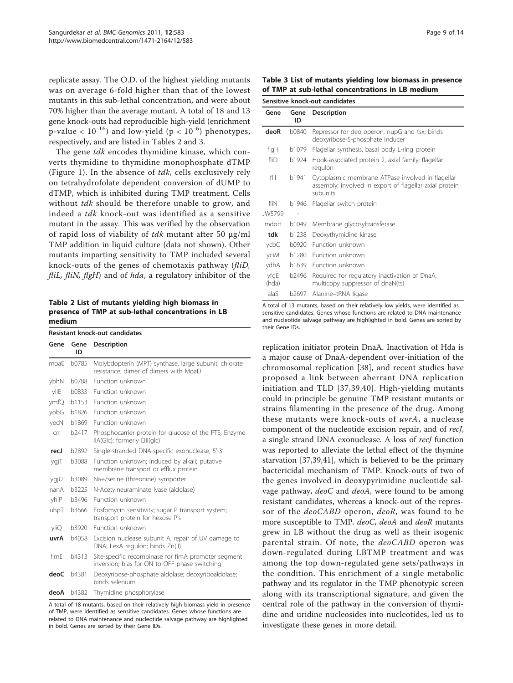replicate assay. The O.D. of the highest yielding mutants was on average 6-fold higher than that of the lowest mutants in this sub-lethal concentration, and were about 70% higher than the average mutant. A total of 18 and 13 gene knock-outs had reproducible high-yield (enrichment p-value <  $10^{-16}$ ) and low-yield (p <  $10^{-6}$ ) phenotypes, respectively, and are listed in Tables 2 and 3.

The gene *tdk* encodes thymidine kinase, which converts thymidine to thymidine monophosphate dTMP (Figure [1\)](#page-1-0). In the absence of tdk, cells exclusively rely on tetrahydrofolate dependent conversion of dUMP to dTMP, which is inhibited during TMP treatment. Cells without tdk should be therefore unable to grow, and indeed a tdk knock-out was identified as a sensitive mutant in the assay. This was verified by the observation of rapid loss of viability of tdk mutant after 50 μg/ml TMP addition in liquid culture (data not shown). Other mutants imparting sensitivity to TMP included several knock-outs of the genes of chemotaxis pathway (fliD, fliL, fliN, flgH) and of  $hda$ , a regulatory inhibitor of the

Table 2 List of mutants yielding high biomass in presence of TMP at sub-lethal concentrations in LB medium

| Resistant knock-out candidates |                   |                                                                                                      |  |  |
|--------------------------------|-------------------|------------------------------------------------------------------------------------------------------|--|--|
| Gene                           | Gene<br>ID        | <b>Description</b>                                                                                   |  |  |
| moaE                           | b0785             | Molybdopterin (MPT) synthase, large subunit; chlorate<br>resistance; dimer of dimers with MoaD       |  |  |
| ybhN                           | b0788             | Function unknown                                                                                     |  |  |
| yliE                           | b0833             | Function unknown                                                                                     |  |  |
| ymfQ                           | b1153             | Function unknown                                                                                     |  |  |
| yobG                           | b1826             | Function unknown                                                                                     |  |  |
| vecN                           | b1869             | Function unknown                                                                                     |  |  |
| Crr                            | b <sub>2417</sub> | Phosphocarrier protein for glucose of the PTS; Enzyme<br>IIA(Glc); formerly EllI(glc)                |  |  |
| recJ                           | b <sub>2892</sub> | Single-stranded DNA-specific exonuclease, 5'-3'                                                      |  |  |
| ygjT                           | b3088             | Function unknown; induced by alkali; putative<br>membrane transport or efflux protein                |  |  |
| ygjU                           | b3089             | Na+/serine (threonine) symporter                                                                     |  |  |
| nanA                           | b3225             | N-Acetylneuraminate lyase (aldolase)                                                                 |  |  |
| yhiP                           | b3496             | Function unknown                                                                                     |  |  |
| uhpT                           | <b>b3666</b>      | Fosfomycin sensitivity; sugar P transport system;<br>transport protein for hexose P's                |  |  |
| yiiQ                           | b3920             | Function unknown                                                                                     |  |  |
| uvrA                           | b4058             | Excision nuclease subunit A; repair of UV damage to<br>DNA; LexA regulon; binds Zn(II)               |  |  |
| fimF                           | b4313             | Site-specific recombinase for fimA promoter segment<br>inversion; bias for ON to OFF phase switching |  |  |
| deoC                           | b4381             | Deoxyribose-phosphate aldolase; deoxyriboaldolase;<br>binds selenium                                 |  |  |
| deoA                           | b4382             | Thymidine phosphorylase                                                                              |  |  |

A total of 18 mutants, based on their relatively high biomass yield in presence of TMP, were identified as sensitive candidates. Genes whose functions are related to DNA maintenance and nucleotide salvage pathway are highlighted in bold. Genes are sorted by their Gene IDs.

Table 3 List of mutants yielding low biomass in presence of TMP at sub-lethal concentrations in LB medium

| Sensitive knock-out candidates |                   |                                                                                                                          |  |  |
|--------------------------------|-------------------|--------------------------------------------------------------------------------------------------------------------------|--|--|
| Gene                           | Gene<br>ID        | <b>Description</b>                                                                                                       |  |  |
| deoR                           | b0840             | Repressor for deo operon, nupG and tsx; binds<br>deoxyribose-5-phosphate inducer                                         |  |  |
| flgH                           | b1079             | Flagellar synthesis, basal body L-ring protein                                                                           |  |  |
| fliD                           | b1924             | Hook-associated protein 2, axial family; flagellar<br>regulon                                                            |  |  |
| flil                           | b1941             | Cytoplasmic membrane ATPase involved in flagellar<br>assembly; involved in export of flagellar axial protein<br>subunits |  |  |
| fliN                           | b1946             | Flagellar switch protein                                                                                                 |  |  |
| JW5799                         |                   |                                                                                                                          |  |  |
| mdoH                           | b1049             | Membrane glycosyltransferase                                                                                             |  |  |
| tdk                            | b1238             | Deoxythymidine kinase                                                                                                    |  |  |
| ycbC                           | b0920             | Function unknown                                                                                                         |  |  |
| yciM                           | b1280             | Function unknown                                                                                                         |  |  |
| ydhA                           | b1639             | Function unknown                                                                                                         |  |  |
| yfgE<br>(hda)                  | b2496             | Required for regulatory inactivation of DnaA;<br>multicopy suppressor of dnaN(ts)                                        |  |  |
| alaS                           | b <sub>2697</sub> | Alanine-tRNA ligase                                                                                                      |  |  |

A total of 13 mutants, based on their relatively low yields, were identified as sensitive candidates. Genes whose functions are related to DNA maintenance and nucleotide salvage pathway are highlighted in bold. Genes are sorted by their Gene IDs.

replication initiator protein DnaA. Inactivation of Hda is a major cause of DnaA-dependent over-initiation of the chromosomal replication [[38](#page-13-0)], and recent studies have proposed a link between aberrant DNA replication initiation and TLD [[37](#page-13-0),[39](#page-13-0),[40](#page-13-0)]. High-yielding mutants could in principle be genuine TMP resistant mutants or strains filamenting in the presence of the drug. Among these mutants were knock-outs of uvrA, a nuclease component of the nucleotide excision repair, and of recJ, a single strand DNA exonuclease. A loss of recJ function was reported to alleviate the lethal effect of the thymine starvation [\[37,39,41\]](#page-13-0), which is believed to be the primary bactericidal mechanism of TMP. Knock-outs of two of the genes involved in deoxypyrimidine nucleotide salvage pathway, deoC and deoA, were found to be among resistant candidates, whereas a knock-out of the repressor of the deoCABD operon, deoR, was found to be more susceptible to TMP. deoC, deoA and deoR mutants grew in LB without the drug as well as their isogenic parental strain. Of note, the deoCABD operon was down-regulated during LBTMP treatment and was among the top down-regulated gene sets/pathways in the condition. This enrichment of a single metabolic pathway and its regulator in the TMP phenotypic screen along with its transcriptional signature, and given the central role of the pathway in the conversion of thymidine and uridine nucleosides into nucleotides, led us to investigate these genes in more detail.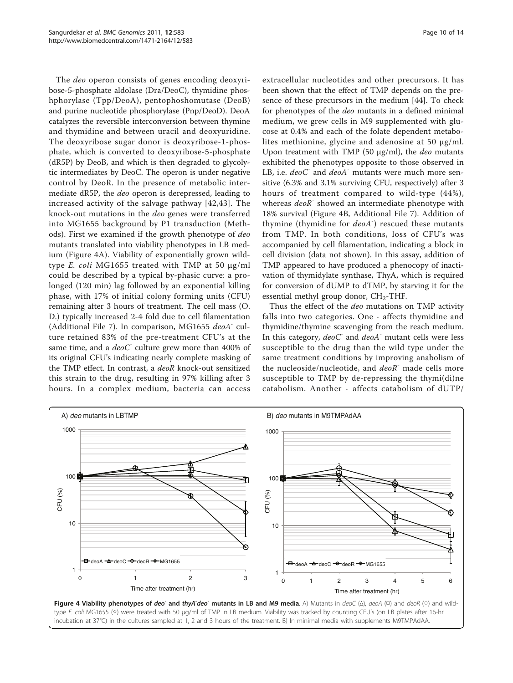<span id="page-9-0"></span>The deo operon consists of genes encoding deoxyribose-5-phosphate aldolase (Dra/DeoC), thymidine phoshphorylase (Tpp/DeoA), pentophoshomutase (DeoB) and purine nucleotide phosphorylase (Pnp/DeoD). DeoA catalyzes the reversible interconversion between thymine and thymidine and between uracil and deoxyuridine. The deoxyribose sugar donor is deoxyribose-1-phosphate, which is converted to deoxyribose-5-phosphate (dR5P) by DeoB, and which is then degraded to glycolytic intermediates by DeoC. The operon is under negative control by DeoR. In the presence of metabolic intermediate dR5P, the deo operon is derepressed, leading to increased activity of the salvage pathway [\[42,43](#page-13-0)]. The knock-out mutations in the deo genes were transferred into MG1655 background by P1 transduction (Methods). First we examined if the growth phenotype of deo mutants translated into viability phenotypes in LB medium (Figure 4A). Viability of exponentially grown wildtype *E. coli* MG1655 treated with TMP at 50 μg/ml could be described by a typical by-phasic curve: a prolonged (120 min) lag followed by an exponential killing phase, with 17% of initial colony forming units (CFU) remaining after 3 hours of treatment. The cell mass (O. D.) typically increased 2-4 fold due to cell filamentation (Additional File [7](#page-12-0)). In comparison, MG1655  $deoA^-$  culture retained 83% of the pre-treatment CFU's at the same time, and a  $deoC$  culture grew more than 400% of its original CFU's indicating nearly complete masking of the TMP effect. In contrast, a deoR knock-out sensitized this strain to the drug, resulting in 97% killing after 3 hours. In a complex medium, bacteria can access

extracellular nucleotides and other precursors. It has been shown that the effect of TMP depends on the presence of these precursors in the medium [\[44](#page-13-0)]. To check for phenotypes of the deo mutants in a defined minimal medium, we grew cells in M9 supplemented with glucose at 0.4% and each of the folate dependent metabolites methionine, glycine and adenosine at 50 μg/ml. Upon treatment with TMP (50  $\mu$ g/ml), the *deo* mutants exhibited the phenotypes opposite to those observed in LB, i.e.  $deoC^-$  and  $deoA^-$  mutants were much more sensitive (6.3% and 3.1% surviving CFU, respectively) after 3 hours of treatment compared to wild-type (44%), whereas  $deoR^-$  showed an intermediate phenotype with 18% survival (Figure 4B, Additional File [7](#page-12-0)). Addition of thymine (thymidine for deoA<sup>-</sup>) rescued these mutants from TMP. In both conditions, loss of CFU's was accompanied by cell filamentation, indicating a block in cell division (data not shown). In this assay, addition of TMP appeared to have produced a phenocopy of inactivation of thymidylate synthase, ThyA, which is required for conversion of dUMP to dTMP, by starving it for the essential methyl group donor,  $CH<sub>2</sub>$ -THF.

Thus the effect of the deo mutations on TMP activity falls into two categories. One - affects thymidine and thymidine/thymine scavenging from the reach medium. In this category,  $deoC$  and  $deoA$ <sup>-</sup> mutant cells were less susceptible to the drug than the wild type under the same treatment conditions by improving anabolism of the nucleoside/nucleotide, and  $deoR^-$  made cells more susceptible to TMP by de-repressing the thymi(di)ne catabolism. Another - affects catabolism of dUTP/

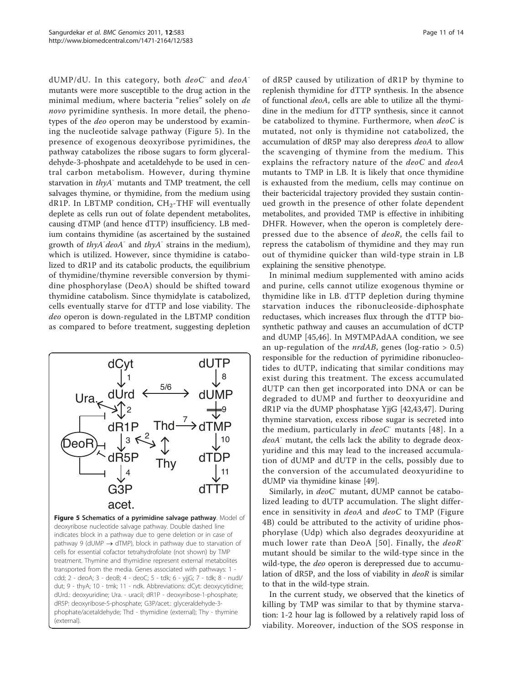$dUMP/dU$ . In this category, both  $deoC^-$  and  $deoA^$ mutants were more susceptible to the drug action in the minimal medium, where bacteria "relies" solely on de novo pyrimidine synthesis. In more detail, the phenotypes of the *deo* operon may be understood by examining the nucleotide salvage pathway (Figure 5). In the presence of exogenous deoxyribose pyrimidines, the pathway catabolizes the ribose sugars to form glyceraldehyde-3-phoshpate and acetaldehyde to be used in central carbon metabolism. However, during thymine starvation in  $thyA^-$  mutants and TMP treatment, the cell salvages thymine, or thymidine, from the medium using dR1P. In LBTMP condition,  $CH_2$ -THF will eventually deplete as cells run out of folate dependent metabolites, causing dTMP (and hence dTTP) insufficiency. LB medium contains thymidine (as ascertained by the sustained growth of thyA<sup>-</sup>deoA<sup>-</sup> and thyA<sup>-</sup> strains in the medium), which is utilized. However, since thymidine is catabolized to dR1P and its catabolic products, the equilibrium of thymidine/thymine reversible conversion by thymidine phosphorylase (DeoA) should be shifted toward thymidine catabolism. Since thymidylate is catabolized, cells eventually starve for dTTP and lose viability. The deo operon is down-regulated in the LBTMP condition as compared to before treatment, suggesting depletion



of dR5P caused by utilization of dR1P by thymine to replenish thymidine for dTTP synthesis. In the absence of functional deoA, cells are able to utilize all the thymidine in the medium for dTTP synthesis, since it cannot be catabolized to thymine. Furthermore, when deoC is mutated, not only is thymidine not catabolized, the accumulation of dR5P may also derepress deoA to allow the scavenging of thymine from the medium. This explains the refractory nature of the deoC and deoA mutants to TMP in LB. It is likely that once thymidine is exhausted from the medium, cells may continue on their bactericidal trajectory provided they sustain continued growth in the presence of other folate dependent metabolites, and provided TMP is effective in inhibiting DHFR. However, when the operon is completely derepressed due to the absence of *deoR*, the cells fail to repress the catabolism of thymidine and they may run out of thymidine quicker than wild-type strain in LB explaining the sensitive phenotype.

In minimal medium supplemented with amino acids and purine, cells cannot utilize exogenous thymine or thymidine like in LB. dTTP depletion during thymine starvation induces the ribonucleoside-diphosphate reductases, which increases flux through the dTTP biosynthetic pathway and causes an accumulation of dCTP and dUMP [\[45,46](#page-13-0)]. In M9TMPAdAA condition, we see an up-regulation of the  $nrdAB$ , genes (log-ratio  $> 0.5$ ) responsible for the reduction of pyrimidine ribonucleotides to dUTP, indicating that similar conditions may exist during this treatment. The excess accumulated dUTP can then get incorporated into DNA or can be degraded to dUMP and further to deoxyuridine and dR1P via the dUMP phosphatase YjjG [[42,43](#page-13-0),[47](#page-13-0)]. During thymine starvation, excess ribose sugar is secreted into the medium, particularly in  $deoC^-$  mutants [[48\]](#page-13-0). In a  $deoA^-$  mutant, the cells lack the ability to degrade deoxyuridine and this may lead to the increased accumulation of dUMP and dUTP in the cells, possibly due to the conversion of the accumulated deoxyuridine to dUMP via thymidine kinase [\[49](#page-13-0)].

Similarly, in  $deoC$  mutant, dUMP cannot be catabolized leading to dUTP accumulation. The slight difference in sensitivity in *deoA* and *deoC* to TMP (Figure [4B\)](#page-9-0) could be attributed to the activity of uridine phosphorylase (Udp) which also degrades deoxyuridine at much lower rate than DeoA [[50](#page-13-0)]. Finally, the *deoR*<sup>-</sup> mutant should be similar to the wild-type since in the wild-type, the *deo* operon is derepressed due to accumulation of dR5P, and the loss of viability in deoR is similar to that in the wild-type strain.

In the current study, we observed that the kinetics of killing by TMP was similar to that by thymine starvation: 1-2 hour lag is followed by a relatively rapid loss of viability. Moreover, induction of the SOS response in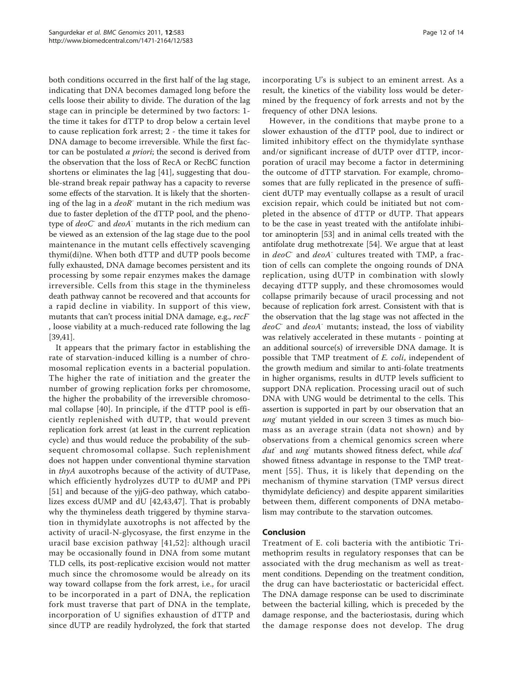both conditions occurred in the first half of the lag stage, indicating that DNA becomes damaged long before the cells loose their ability to divide. The duration of the lag stage can in principle be determined by two factors: 1 the time it takes for dTTP to drop below a certain level to cause replication fork arrest; 2 - the time it takes for DNA damage to become irreversible. While the first factor can be postulated a priori; the second is derived from the observation that the loss of RecA or RecBC function shortens or eliminates the lag [[41\]](#page-13-0), suggesting that double-strand break repair pathway has a capacity to reverse some effects of the starvation. It is likely that the shortening of the lag in a  $deoR^-$  mutant in the rich medium was due to faster depletion of the dTTP pool, and the phenotype of  $deoC$  and  $deoA<sup>-</sup>$  mutants in the rich medium can be viewed as an extension of the lag stage due to the pool maintenance in the mutant cells effectively scavenging thymi(di)ne. When both dTTP and dUTP pools become fully exhausted, DNA damage becomes persistent and its processing by some repair enzymes makes the damage irreversible. Cells from this stage in the thymineless death pathway cannot be recovered and that accounts for a rapid decline in viability. In support of this view, mutants that can't process initial DNA damage, e.g., recF , loose viability at a much-reduced rate following the lag [[39,41\]](#page-13-0).

It appears that the primary factor in establishing the rate of starvation-induced killing is a number of chromosomal replication events in a bacterial population. The higher the rate of initiation and the greater the number of growing replication forks per chromosome, the higher the probability of the irreversible chromosomal collapse [\[40](#page-13-0)]. In principle, if the dTTP pool is efficiently replenished with dUTP, that would prevent replication fork arrest (at least in the current replication cycle) and thus would reduce the probability of the subsequent chromosomal collapse. Such replenishment does not happen under conventional thymine starvation in thyA auxotrophs because of the activity of dUTPase, which efficiently hydrolyzes dUTP to dUMP and PPi [[51\]](#page-13-0) and because of the yjjG-deo pathway, which catabolizes excess dUMP and dU [[42,43](#page-13-0),[47\]](#page-13-0). That is probably why the thymineless death triggered by thymine starvation in thymidylate auxotrophs is not affected by the activity of uracil-N-glycosyase, the first enzyme in the uracil base excision pathway [[41](#page-13-0),[52](#page-13-0)]: although uracil may be occasionally found in DNA from some mutant TLD cells, its post-replicative excision would not matter much since the chromosome would be already on its way toward collapse from the fork arrest, i.e., for uracil to be incorporated in a part of DNA, the replication fork must traverse that part of DNA in the template, incorporation of U signifies exhaustion of dTTP and since dUTP are readily hydrolyzed, the fork that started incorporating U's is subject to an eminent arrest. As a result, the kinetics of the viability loss would be determined by the frequency of fork arrests and not by the frequency of other DNA lesions.

However, in the conditions that maybe prone to a slower exhaustion of the dTTP pool, due to indirect or limited inhibitory effect on the thymidylate synthase and/or significant increase of dUTP over dTTP, incorporation of uracil may become a factor in determining the outcome of dTTP starvation. For example, chromosomes that are fully replicated in the presence of sufficient dUTP may eventually collapse as a result of uracil excision repair, which could be initiated but not completed in the absence of dTTP or dUTP. That appears to be the case in yeast treated with the antifolate inhibitor aminopterin [\[53\]](#page-13-0) and in animal cells treated with the antifolate drug methotrexate [[54](#page-13-0)]. We argue that at least in  $deoC^-$  and  $deoA^-$  cultures treated with TMP, a fraction of cells can complete the ongoing rounds of DNA replication, using dUTP in combination with slowly decaying dTTP supply, and these chromosomes would collapse primarily because of uracil processing and not because of replication fork arrest. Consistent with that is the observation that the lag stage was not affected in the  $deoC$  and  $deoA$  mutants; instead, the loss of viability was relatively accelerated in these mutants - pointing at an additional source(s) of irreversible DNA damage. It is possible that TMP treatment of E. coli, independent of the growth medium and similar to anti-folate treatments in higher organisms, results in dUTP levels sufficient to support DNA replication. Processing uracil out of such DNA with UNG would be detrimental to the cells. This assertion is supported in part by our observation that an ung<sup>-</sup> mutant yielded in our screen 3 times as much biomass as an average strain (data not shown) and by observations from a chemical genomics screen where  $dut$  and ung mutants showed fitness defect, while  $dcd$ showed fitness advantage in response to the TMP treatment [[55](#page-13-0)]. Thus, it is likely that depending on the mechanism of thymine starvation (TMP versus direct thymidylate deficiency) and despite apparent similarities between them, different components of DNA metabolism may contribute to the starvation outcomes.

## Conclusion

Treatment of E. coli bacteria with the antibiotic Trimethoprim results in regulatory responses that can be associated with the drug mechanism as well as treatment conditions. Depending on the treatment condition, the drug can have bacteriostatic or bactericidal effect. The DNA damage response can be used to discriminate between the bacterial killing, which is preceded by the damage response, and the bacteriostasis, during which the damage response does not develop. The drug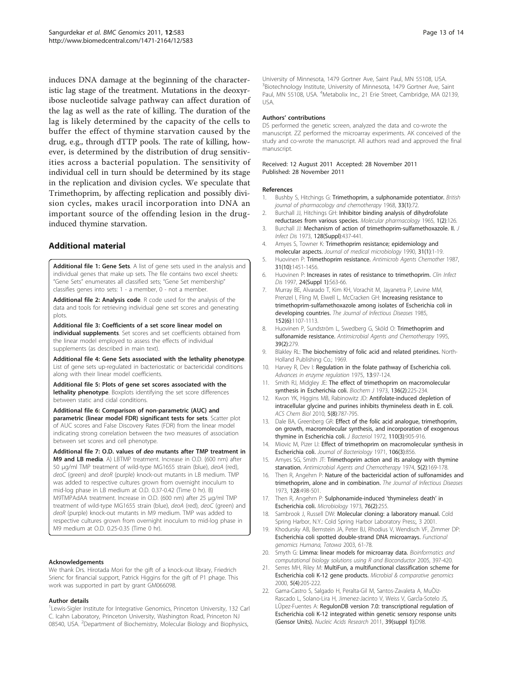<span id="page-12-0"></span>induces DNA damage at the beginning of the characteristic lag stage of the treatment. Mutations in the deoxyribose nucleotide salvage pathway can affect duration of the lag as well as the rate of killing. The duration of the lag is likely determined by the capacity of the cells to buffer the effect of thymine starvation caused by the drug, e.g., through dTTP pools. The rate of killing, however, is determined by the distribution of drug sensitivities across a bacterial population. The sensitivity of individual cell in turn should be determined by its stage in the replication and division cycles. We speculate that Trimethoprim, by affecting replication and possibly division cycles, makes uracil incorporation into DNA an important source of the offending lesion in the druginduced thymine starvation.

## Additional material

[Additional file 1: G](http://www.biomedcentral.com/content/supplementary/1471-2164-12-583-S1.XLS)ene Sets. A list of gene sets used in the analysis and individual genes that make up sets. The file contains two excel sheets: "Gene Sets" enumerates all classified sets; "Gene Set membership" classifies genes into sets: 1 - a member, 0 - not a member.

[Additional file 2: A](http://www.biomedcentral.com/content/supplementary/1471-2164-12-583-S2.ZIP)nalysis code. R code used for the analysis of the data and tools for retrieving individual gene set scores and generating plots.

[Additional file 3: C](http://www.biomedcentral.com/content/supplementary/1471-2164-12-583-S3.XLS)oefficients of a set score linear model on individual supplements. Set scores and set coefficients obtained from the linear model employed to assess the effects of individual supplements (as described in main text).

[Additional file 4: G](http://www.biomedcentral.com/content/supplementary/1471-2164-12-583-S4.XLS)ene Sets associated with the lethality phenotype. List of gene sets up-regulated in bacteriostatic or bactericidal conditions along with their linear model coefficients.

[Additional file 5: P](http://www.biomedcentral.com/content/supplementary/1471-2164-12-583-S5.PDF)lots of gene set scores associated with the lethality phenotype. Boxplots identifying the set score differences between static and cidal conditions.

[Additional file 6: C](http://www.biomedcentral.com/content/supplementary/1471-2164-12-583-S6.PDF)omparison of non-parametric (AUC) and parametric (linear model FDR) significant tests for sets. Scatter plot of AUC scores and False Discovery Rates (FDR) from the linear model indicating strong correlation between the two measures of association between set scores and cell phenotype.

[Additional file 7: O](http://www.biomedcentral.com/content/supplementary/1471-2164-12-583-S7.PDF).D. values of deo mutants after TMP treatment in M9 and LB media. A) LBTMP treatment. Increase in O.D. (600 nm) after 50 μg/ml TMP treatment of wild-type MG1655 strain (blue), deoA (red), deoC (green) and deoR (purple) knock-out mutants in LB medium. TMP was added to respective cultures grown from overnight inoculum to mid-log phase in LB medium at O.D. 0.37-0.42 (Time 0 hr). B) M9TMPAdAA treatment. Increase in O.D. (600 nm) after 25 μg/ml TMP treatment of wild-type MG1655 strain (blue), deoA (red), deoC (green) and deoR (purple) knock-out mutants in M9 medium. TMP was added to respective cultures grown from overnight inoculum to mid-log phase in M9 medium at O.D. 0.25-0.35 (Time 0 hr).

#### Acknowledgements

We thank Drs. Hirotada Mori for the gift of a knock-out library, Friedrich Srienc for financial support, Patrick Higgins for the gift of P1 phage. This work was supported in part by grant GM066098.

#### Author details

<sup>1</sup> Lewis-Sigler Institute for Integrative Genomics, Princeton University, 132 Carl C. Icahn Laboratory, Princeton University, Washington Road, Princeton NJ 08540, USA. <sup>2</sup>Department of Biochemistry, Molecular Biology and Biophysics,

University of Minnesota, 1479 Gortner Ave, Saint Paul, MN 55108, USA. <sup>3</sup>Biotechnology Institute, University of Minnesota, 1479 Gortner Ave, Saint Paul, MN 55108, USA. <sup>4</sup>Metabolix Inc., 21 Erie Street, Cambridge, MA 02139, USA.

#### Authors' contributions

DS performed the genetic screen, analyzed the data and co-wrote the manuscript. ZZ performed the microarray experiments. AK conceived of the study and co-wrote the manuscript. All authors read and approved the final manuscript.

#### Received: 12 August 2011 Accepted: 28 November 2011 Published: 28 November 2011

#### References

- 1. Bushby S, Hitchings G: [Trimethoprim, a sulphonamide potentiator.](http://www.ncbi.nlm.nih.gov/pubmed/5301731?dopt=Abstract) British journal of pharmacology and chemotherapy 1968, 33(1):72.
- 2. Burchall JJ, Hitchings GH: [Inhibitor binding analysis of dihydrofolate](http://www.ncbi.nlm.nih.gov/pubmed/4378654?dopt=Abstract) [reductases from various species.](http://www.ncbi.nlm.nih.gov/pubmed/4378654?dopt=Abstract) Molecular pharmacology 1965, 1(2):126.
- 3. Burchall JJ: [Mechanism of action of trimethoprim-sulfamethoxazole. II.](http://www.ncbi.nlm.nih.gov/pubmed/4585969?dopt=Abstract) J Infect Dis 1973, 128(Suppl):437-441.
- 4. Amyes S, Towner K: [Trimethoprim resistance; epidemiology and](http://www.ncbi.nlm.nih.gov/pubmed/2404123?dopt=Abstract) [molecular aspects.](http://www.ncbi.nlm.nih.gov/pubmed/2404123?dopt=Abstract) Journal of medical microbiology 1990, 31(1):1-19.
- 5. Huovinen P: [Trimethoprim resistance.](http://www.ncbi.nlm.nih.gov/pubmed/3324955?dopt=Abstract) Antimicrob Agents Chemother 1987, 31(10):1451-1456.
- 6. Huovinen P: [Increases in rates of resistance to trimethoprim.](http://www.ncbi.nlm.nih.gov/pubmed/8994780?dopt=Abstract) Clin Infect Dis 1997, 24(Suppl 1):S63-66.
- 7. Murray BE, Alvarado T, Kim KH, Vorachit M, Jayanetra P, Levine MM, Prenzel I, Fling M, Elwell L, McCracken GH: [Increasing resistance to](http://www.ncbi.nlm.nih.gov/pubmed/3905979?dopt=Abstract) [trimethoprim-sulfamethoxazole among isolates of Escherichia coli in](http://www.ncbi.nlm.nih.gov/pubmed/3905979?dopt=Abstract) [developing countries.](http://www.ncbi.nlm.nih.gov/pubmed/3905979?dopt=Abstract) The Journal of Infectious Diseases 1985, 152(6):1107-1113.
- 8. Huovinen P, Sundström L, Swedberg G, Sköld O: [Trimethoprim and](http://www.ncbi.nlm.nih.gov/pubmed/7726483?dopt=Abstract) [sulfonamide resistance.](http://www.ncbi.nlm.nih.gov/pubmed/7726483?dopt=Abstract) Antimicrobial Agents and Chemotherapy 1995, 39(2):279.
- 9. Blakley RL: The biochemistry of folic acid and related pteridines. North-Holland Publishing Co.; 1969.
- 10. Harvey R, Dev I: Regulation in the folate pathway of Escherichia coli. Advances in enzyme regulation 1975, 13:97-124.
- 11. Smith RJ, Midgley JE: [The effect of trimethoprim on macromolecular](http://www.ncbi.nlm.nih.gov/pubmed/4590198?dopt=Abstract) [synthesis in Escherichia coli.](http://www.ncbi.nlm.nih.gov/pubmed/4590198?dopt=Abstract) Biochem J 1973, 136(2):225-234.
- 12. Kwon YK, Higgins MB, Rabinowitz JD: [Antifolate-induced depletion of](http://www.ncbi.nlm.nih.gov/pubmed/20553049?dopt=Abstract) [intracellular glycine and purines inhibits thymineless death in E. coli.](http://www.ncbi.nlm.nih.gov/pubmed/20553049?dopt=Abstract) ACS Chem Biol 2010, 5(8):787-795.
- 13. Dale BA, Greenberg GR: [Effect of the folic acid analogue, trimethoprim,](http://www.ncbi.nlm.nih.gov/pubmed/4260561?dopt=Abstract) [on growth, macromolecular synthesis, and incorporation of exogenous](http://www.ncbi.nlm.nih.gov/pubmed/4260561?dopt=Abstract) [thymine in Escherichia coli.](http://www.ncbi.nlm.nih.gov/pubmed/4260561?dopt=Abstract) J Bacteriol 1972, 110(3):905-916.
- 14. Miovic M, Pizer LI: [Effect of trimethoprim on macromolecular synthesis in](http://www.ncbi.nlm.nih.gov/pubmed/4254117?dopt=Abstract) [Escherichia coli.](http://www.ncbi.nlm.nih.gov/pubmed/4254117?dopt=Abstract) Journal of Bacteriology 1971, 106(3):856.
- 15. Amyes SG, Smith JT: [Trimethoprim action and its analogy with thymine](http://www.ncbi.nlm.nih.gov/pubmed/4275615?dopt=Abstract) [starvation.](http://www.ncbi.nlm.nih.gov/pubmed/4275615?dopt=Abstract) Antimicrobial Agents and Chemotherapy 1974, 5(2):169-178.
- 16. Then R, Angehrn P: [Nature of the bactericidal action of sulfonamides and](http://www.ncbi.nlm.nih.gov/pubmed/4585954?dopt=Abstract) trimethoprim, [alone and in combination.](http://www.ncbi.nlm.nih.gov/pubmed/4585954?dopt=Abstract) The Journal of Infectious Diseases 1973, 128:498-501.
- 17. Then R, Angehrn P: Sulphonamide-induced 'thymineless death' in Escherichia coli. Microbiology 1973, 76(2):255.
- 18. Sambrook J, Russell DW: Molecular cloning: a laboratory manual. Cold Spring Harbor, N.Y.: Cold Spring Harbor Laboratory Press;, 3 2001.
- 19. Khodursky AB, Bernstein JA, Peter BJ, Rhodius V, Wendisch VF, Zimmer DP: Escherichia coli spotted double-strand DNA microarrays. Functional genomics Humana, Totowa 2003, 61-78.
- 20. Smyth G: Limma: linear models for microarray data. Bioinformatics and computational biology solutions using R and Bioconductor 2005, 397-420.
- 21. Serres MH, Riley M: [MultiFun, a multifunctional classification scheme for](http://www.ncbi.nlm.nih.gov/pubmed/22125645?dopt=Abstract) [Escherichia coli K-12 gene products.](http://www.ncbi.nlm.nih.gov/pubmed/22125645?dopt=Abstract) Microbial & comparative genomics 2000, 5(4):205-222.
- 22. Gama-Castro S, Salgado H, Peralta-Gil M, Santos-Zavaleta A, MuÒiz-Rascado L, Solano-Lira H, Jimenez-Jacinto V, Weiss V, Garcla-Sotelo JS, LÛpez-Fuentes A: [RegulonDB version 7.0: transcriptional regulation of](http://www.ncbi.nlm.nih.gov/pubmed/21051347?dopt=Abstract) [Escherichia coli K-12 integrated within genetic sensory response units](http://www.ncbi.nlm.nih.gov/pubmed/21051347?dopt=Abstract) [\(Gensor Units\).](http://www.ncbi.nlm.nih.gov/pubmed/21051347?dopt=Abstract) Nucleic Acids Research 2011, 39(suppl 1):D98.